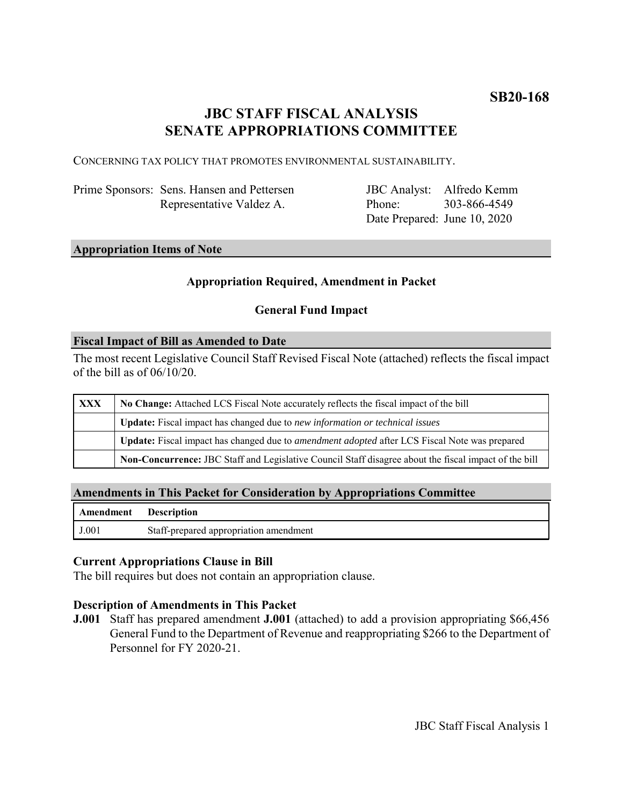# **JBC STAFF FISCAL ANALYSIS SENATE APPROPRIATIONS COMMITTEE**

CONCERNING TAX POLICY THAT PROMOTES ENVIRONMENTAL SUSTAINABILITY.

| Prime Sponsors: Sens. Hansen and Pettersen |
|--------------------------------------------|
| Representative Valdez A.                   |

JBC Analyst: Alfredo Kemm Phone: Date Prepared: June 10, 2020 303-866-4549

## **Appropriation Items of Note**

## **Appropriation Required, Amendment in Packet**

## **General Fund Impact**

#### **Fiscal Impact of Bill as Amended to Date**

The most recent Legislative Council Staff Revised Fiscal Note (attached) reflects the fiscal impact of the bill as of  $06/10/20$ .

| <b>XXX</b> | No Change: Attached LCS Fiscal Note accurately reflects the fiscal impact of the bill                       |  |
|------------|-------------------------------------------------------------------------------------------------------------|--|
|            | <b>Update:</b> Fiscal impact has changed due to new information or technical issues                         |  |
|            | <b>Update:</b> Fiscal impact has changed due to <i>amendment adopted</i> after LCS Fiscal Note was prepared |  |
|            | Non-Concurrence: JBC Staff and Legislative Council Staff disagree about the fiscal impact of the bill       |  |

### **Amendments in This Packet for Consideration by Appropriations Committee**

| <b>Amendment</b> Description |                                        |
|------------------------------|----------------------------------------|
| J.001                        | Staff-prepared appropriation amendment |

#### **Current Appropriations Clause in Bill**

The bill requires but does not contain an appropriation clause.

## **Description of Amendments in This Packet**

**J.001** Staff has prepared amendment **J.001** (attached) to add a provision appropriating \$66,456 General Fund to the Department of Revenue and reappropriating \$266 to the Department of Personnel for FY 2020-21.